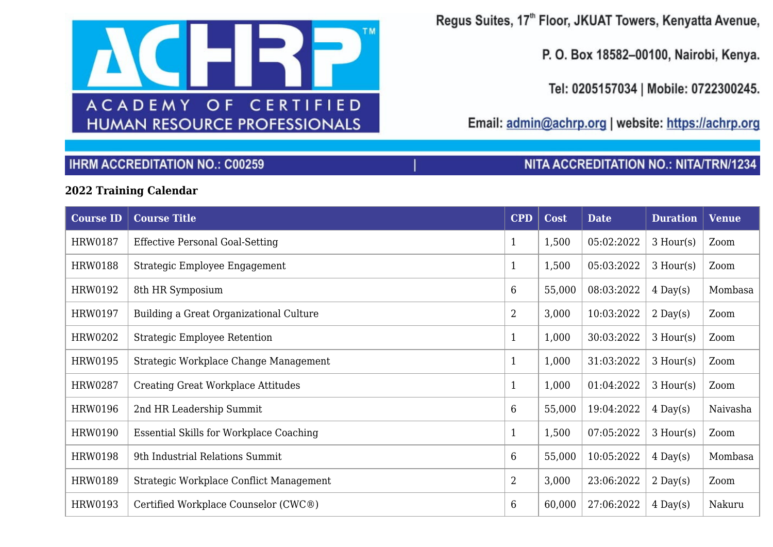

Regus Suites, 17th Floor, JKUAT Towers, Kenyatta Avenue,

P. O. Box 18582-00100, Nairobi, Kenya.

Tel: 0205157034 | Mobile: 0722300245.

NITA ACCREDITATION NO.: NITA/TRN/1234

Email: admin@achrp.org | website: https://achrp.org

## **IHRM ACCREDITATION NO.: C00259**

## 2022 Training Calendar

| <b>Course ID</b> | <b>Course Title</b>                            | <b>CPD</b>      | <b>Cost</b> | <b>Date</b> | <b>Duration</b> | <b>Venue</b> |
|------------------|------------------------------------------------|-----------------|-------------|-------------|-----------------|--------------|
| HRW0187          | <b>Effective Personal Goal-Setting</b>         | $\mathbf{1}$    | 1,500       | 05:02:2022  | $3$ Hour(s)     | Zoom         |
| <b>HRW0188</b>   | Strategic Employee Engagement                  | $\mathbf{1}$    | 1,500       | 05:03:2022  | $3$ Hour(s)     | Zoom         |
| HRW0192          | 8th HR Symposium                               | 6               | 55,000      | 08:03:2022  | $4$ Day(s)      | Mombasa      |
| <b>HRW0197</b>   | Building a Great Organizational Culture        | $\overline{2}$  | 3,000       | 10:03:2022  | $2$ Day(s)      | Zoom         |
| HRW0202          | <b>Strategic Employee Retention</b>            | $\mathbf{1}$    | 1,000       | 30:03:2022  | $3$ Hour(s)     | Zoom         |
| HRW0195          | Strategic Workplace Change Management          | $\mathbf{1}$    | 1,000       | 31:03:2022  | $3$ Hour(s)     | Zoom         |
| HRW0287          | <b>Creating Great Workplace Attitudes</b>      | $\mathbf{1}$    | 1,000       | 01:04:2022  | $3$ Hour(s)     | Zoom         |
| <b>HRW0196</b>   | 2nd HR Leadership Summit                       | 6               | 55,000      | 19:04:2022  | $4$ Day(s)      | Naivasha     |
| HRW0190          | <b>Essential Skills for Workplace Coaching</b> | $\mathbf{1}$    | 1,500       | 07:05:2022  | $3$ Hour(s)     | Zoom         |
| <b>HRW0198</b>   | 9th Industrial Relations Summit                | $6\phantom{.}6$ | 55,000      | 10:05:2022  | $4$ Day(s)      | Mombasa      |
| <b>HRW0189</b>   | Strategic Workplace Conflict Management        | $\overline{2}$  | 3,000       | 23:06:2022  | $2$ Day(s)      | Zoom         |
| HRW0193          | Certified Workplace Counselor (CWC®)           | $6\phantom{.}6$ | 60,000      | 27:06:2022  | $4$ Day(s)      | Nakuru       |